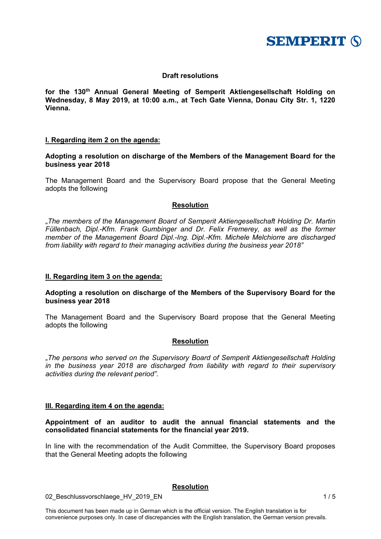

## **Draft resolutions**

for the 130<sup>th</sup> Annual General Meeting of Semperit Aktiengesellschaft Holding on **Wednesday, 8 May 2019, at 10:00 a.m., at Tech Gate Vienna, Donau City Str. 1, 1220 Vienna.** 

## **I. Regarding item 2 on the agenda:**

**Adopting a resolution on discharge of the Members of the Management Board for the business year 2018** 

The Management Board and the Supervisory Board propose that the General Meeting adopts the following

## **Resolution**

"*The members of the Management Board of Semperit Aktiengesellschaft Holding Dr. Martin Füllenbach, Dipl.-Kfm. Frank Gumbinger and Dr. Felix Fremerey, as well as the former member of the Management Board Dipl.-Ing. Dipl.-Kfm. Michele Melchiorre are discharged from liability with regard to their managing activities during the business year 2018"* 

## **II. Regarding item 3 on the agenda:**

## **Adopting a resolution on discharge of the Members of the Supervisory Board for the business year 2018**

The Management Board and the Supervisory Board propose that the General Meeting adopts the following

## **Resolution**

"*The persons who served on the Supervisory Board of Semperit Aktiengesellschaft Holding in the business year 2018 are discharged from liability with regard to their supervisory activities during the relevant period".*

## **III. Regarding item 4 on the agenda:**

## **Appointment of an auditor to audit the annual financial statements and the consolidated financial statements for the financial year 2019.**

In line with the recommendation of the Audit Committee, the Supervisory Board proposes that the General Meeting adopts the following

## **Resolution**

02 Beschlussvorschlaege HV 2019 EN 1/5

This document has been made up in German which is the official version. The English translation is for convenience purposes only. In case of discrepancies with the English translation, the German version prevails.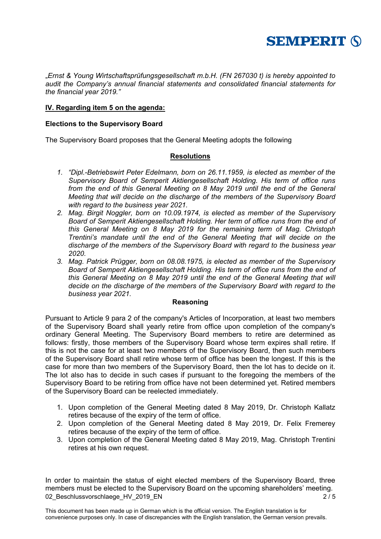

"*Ernst & Young Wirtschaftsprüfungsgesellschaft m.b.H. (FN 267030 t) is hereby appointed to audit the Company's annual financial statements and consolidated financial statements for the financial year 2019."* 

## **IV. Regarding item 5 on the agenda:**

## **Elections to the Supervisory Board**

The Supervisory Board proposes that the General Meeting adopts the following

## **Resolutions**

- *1. "Dipl.-Betriebswirt Peter Edelmann, born on 26.11.1959, is elected as member of the Supervisory Board of Semperit Aktiengesellschaft Holding. His term of office runs*  from the end of this General Meeting on 8 May 2019 until the end of the General *Meeting that will decide on the discharge of the members of the Supervisory Board with regard to the business year 2021.*
- *2. Mag. Birgit Noggler, born on 10.09.1974, is elected as member of the Supervisory Board of Semperit Aktiengesellschaft Holding. Her term of office runs from the end of this General Meeting on 8 May 2019 for the remaining term of Mag. Christoph Trentini's mandate until the end of the General Meeting that will decide on the discharge of the members of the Supervisory Board with regard to the business year 2020.*
- *3. Mag. Patrick Prügger, born on 08.08.1975, is elected as member of the Supervisory Board of Semperit Aktiengesellschaft Holding. His term of office runs from the end of this General Meeting on 8 May 2019 until the end of the General Meeting that will decide on the discharge of the members of the Supervisory Board with regard to the business year 2021.*

## **Reasoning**

Pursuant to Article 9 para 2 of the company's Articles of Incorporation, at least two members of the Supervisory Board shall yearly retire from office upon completion of the company's ordinary General Meeting. The Supervisory Board members to retire are determined as follows: firstly, those members of the Supervisory Board whose term expires shall retire. If this is not the case for at least two members of the Supervisory Board, then such members of the Supervisory Board shall retire whose term of office has been the longest. If this is the case for more than two members of the Supervisory Board, then the lot has to decide on it. The lot also has to decide in such cases if pursuant to the foregoing the members of the Supervisory Board to be retiring from office have not been determined yet. Retired members of the Supervisory Board can be reelected immediately.

- 1. Upon completion of the General Meeting dated 8 May 2019, Dr. Christoph Kallatz retires because of the expiry of the term of office.
- 2. Upon completion of the General Meeting dated 8 May 2019, Dr. Felix Fremerey retires because of the expiry of the term of office.
- 3. Upon completion of the General Meeting dated 8 May 2019, Mag. Christoph Trentini retires at his own request.

02 Beschlussvorschlaege HV 2019 EN 2 2 / 5 In order to maintain the status of eight elected members of the Supervisory Board, three members must be elected to the Supervisory Board on the upcoming shareholders' meeting.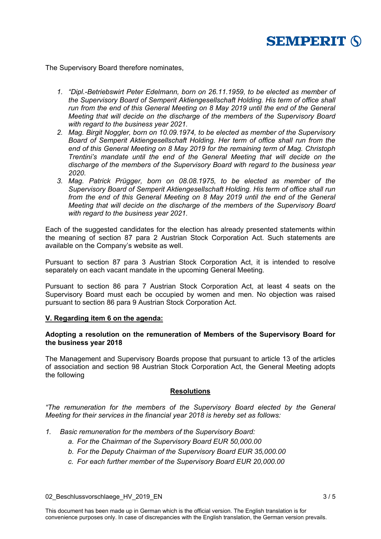

The Supervisory Board therefore nominates,

- *1. "Dipl.-Betriebswirt Peter Edelmann, born on 26.11.1959, to be elected as member of the Supervisory Board of Semperit Aktiengesellschaft Holding. His term of office shall run from the end of this General Meeting on 8 May 2019 until the end of the General Meeting that will decide on the discharge of the members of the Supervisory Board with regard to the business year 2021.*
- *2. Mag. Birgit Noggler, born on 10.09.1974, to be elected as member of the Supervisory Board of Semperit Aktiengesellschaft Holding. Her term of office shall run from the end of this General Meeting on 8 May 2019 for the remaining term of Mag. Christoph Trentini's mandate until the end of the General Meeting that will decide on the discharge of the members of the Supervisory Board with regard to the business year 2020.*
- *3. Mag. Patrick Prügger, born on 08.08.1975, to be elected as member of the Supervisory Board of Semperit Aktiengesellschaft Holding. His term of office shall run from the end of this General Meeting on 8 May 2019 until the end of the General Meeting that will decide on the discharge of the members of the Supervisory Board with regard to the business year 2021.*

Each of the suggested candidates for the election has already presented statements within the meaning of section 87 para 2 Austrian Stock Corporation Act. Such statements are available on the Company's website as well.

Pursuant to section 87 para 3 Austrian Stock Corporation Act, it is intended to resolve separately on each vacant mandate in the upcoming General Meeting.

Pursuant to section 86 para 7 Austrian Stock Corporation Act, at least 4 seats on the Supervisory Board must each be occupied by women and men. No objection was raised pursuant to section 86 para 9 Austrian Stock Corporation Act.

## **V. Regarding item 6 on the agenda:**

## **Adopting a resolution on the remuneration of Members of the Supervisory Board for the business year 2018**

The Management and Supervisory Boards propose that pursuant to article 13 of the articles of association and section 98 Austrian Stock Corporation Act, the General Meeting adopts the following

## **Resolutions**

*"The remuneration for the members of the Supervisory Board elected by the General Meeting for their services in the financial year 2018 is hereby set as follows:* 

- *1. Basic remuneration for the members of the Supervisory Board:* 
	- *a. For the Chairman of the Supervisory Board EUR 50,000.00*
	- *b. For the Deputy Chairman of the Supervisory Board EUR 35,000.00*
	- *c. For each further member of the Supervisory Board EUR 20,000.00*

02 Beschlussvorschlaege HV 2019 EN 3 / 5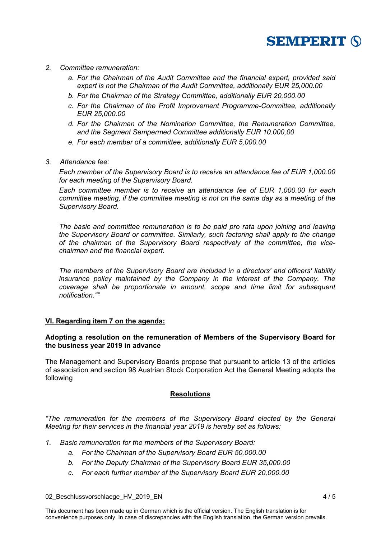

- *2. Committee remuneration:* 
	- *a. For the Chairman of the Audit Committee and the financial expert, provided said expert is not the Chairman of the Audit Committee, additionally EUR 25,000.00*
	- *b. For the Chairman of the Strategy Committee, additionally EUR 20,000.00*
	- *c. For the Chairman of the Profit Improvement Programme-Committee, additionally EUR 25,000.00*
	- *d. For the Chairman of the Nomination Committee, the Remuneration Committee, and the Segment Sempermed Committee additionally EUR 10.000,00*
	- *e. For each member of a committee, additionally EUR 5,000.00*
- *3. Attendance fee:*

*Each member of the Supervisory Board is to receive an attendance fee of EUR 1,000.00 for each meeting of the Supervisory Board.* 

*Each committee member is to receive an attendance fee of EUR 1,000.00 for each committee meeting, if the committee meeting is not on the same day as a meeting of the Supervisory Board.* 

*The basic and committee remuneration is to be paid pro rata upon joining and leaving the Supervisory Board or committee. Similarly, such factoring shall apply to the change of the chairman of the Supervisory Board respectively of the committee, the vicechairman and the financial expert.* 

*The members of the Supervisory Board are included in a directors' and officers' liability insurance policy maintained by the Company in the interest of the Company. The coverage shall be proportionate in amount, scope and time limit for subsequent notification.""* 

## **VI. Regarding item 7 on the agenda:**

## **Adopting a resolution on the remuneration of Members of the Supervisory Board for the business year 2019 in advance**

The Management and Supervisory Boards propose that pursuant to article 13 of the articles of association and section 98 Austrian Stock Corporation Act the General Meeting adopts the following

## **Resolutions**

*"The remuneration for the members of the Supervisory Board elected by the General Meeting for their services in the financial year 2019 is hereby set as follows:* 

- *1. Basic remuneration for the members of the Supervisory Board:* 
	- *a. For the Chairman of the Supervisory Board EUR 50,000.00*
	- *b. For the Deputy Chairman of the Supervisory Board EUR 35,000.00*
	- *c. For each further member of the Supervisory Board EUR 20,000.00*

02 Beschlussvorschlaege HV 2019 EN 4/5